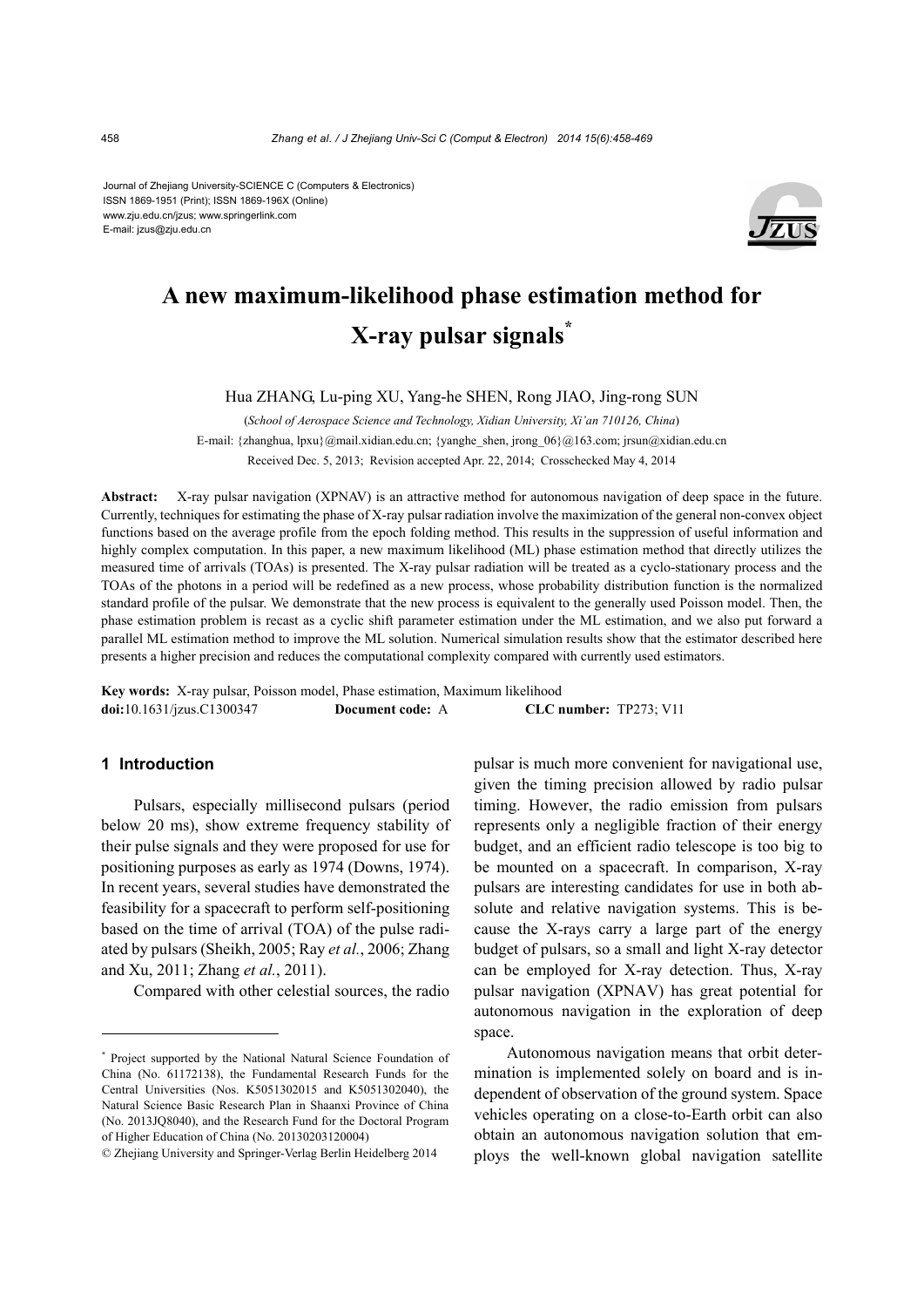Journal of Zhejiang University-SCIENCE C (Computers & Electronics) ISSN 1869-1951 (Print); ISSN 1869-196X (Online) www.zju.edu.cn/jzus; www.springerlink.com E-mail: jzus@zju.edu.cn



# **A new maximum-likelihood phase estimation method for X-ray pulsar signals\***

Hua ZHANG, Lu-ping XU, Yang-he SHEN, Rong JIAO, Jing-rong SUN

(*School of Aerospace Science and Technology, Xidian University, Xi'an 710126, China*) E-mail: {zhanghua, lpxu}@mail.xidian.edu.cn; {yanghe\_shen, jrong\_06}@163.com; jrsun@xidian.edu.cn Received Dec. 5, 2013; Revision accepted Apr. 22, 2014; Crosschecked May 4, 2014

**Abstract:** X-ray pulsar navigation (XPNAV) is an attractive method for autonomous navigation of deep space in the future. Currently, techniques for estimating the phase of X-ray pulsar radiation involve the maximization of the general non-convex object functions based on the average profile from the epoch folding method. This results in the suppression of useful information and highly complex computation. In this paper, a new maximum likelihood (ML) phase estimation method that directly utilizes the measured time of arrivals (TOAs) is presented. The X-ray pulsar radiation will be treated as a cyclo-stationary process and the TOAs of the photons in a period will be redefined as a new process, whose probability distribution function is the normalized standard profile of the pulsar. We demonstrate that the new process is equivalent to the generally used Poisson model. Then, the phase estimation problem is recast as a cyclic shift parameter estimation under the ML estimation, and we also put forward a parallel ML estimation method to improve the ML solution. Numerical simulation results show that the estimator described here presents a higher precision and reduces the computational complexity compared with currently used estimators.

**Key words:** X-ray pulsar, Poisson model, Phase estimation, Maximum likelihood **doi:**10.1631/jzus.C1300347 **Document code:** A **CLC number:** TP273; V11

# **1 Introduction**

Pulsars, especially millisecond pulsars (period below 20 ms), show extreme frequency stability of their pulse signals and they were proposed for use for positioning purposes as early as 1974 (Downs, 1974). In recent years, several studies have demonstrated the feasibility for a spacecraft to perform self-positioning based on the time of arrival (TOA) of the pulse radiated by pulsars (Sheikh, 2005; Ray *et al.*, 2006; Zhang and Xu, 2011; Zhang *et al.*, 2011).

Compared with other celestial sources, the radio

pulsar is much more convenient for navigational use, given the timing precision allowed by radio pulsar timing. However, the radio emission from pulsars represents only a negligible fraction of their energy budget, and an efficient radio telescope is too big to be mounted on a spacecraft. In comparison, X-ray pulsars are interesting candidates for use in both absolute and relative navigation systems. This is because the X-rays carry a large part of the energy budget of pulsars, so a small and light X-ray detector can be employed for X-ray detection. Thus, X-ray pulsar navigation (XPNAV) has great potential for autonomous navigation in the exploration of deep space.

Autonomous navigation means that orbit determination is implemented solely on board and is independent of observation of the ground system. Space vehicles operating on a close-to-Earth orbit can also obtain an autonomous navigation solution that employs the well-known global navigation satellite

<sup>\*</sup> Project supported by the National Natural Science Foundation of China (No. 61172138), the Fundamental Research Funds for the Central Universities (Nos. K5051302015 and K5051302040), the Natural Science Basic Research Plan in Shaanxi Province of China (No. 2013JQ8040), and the Research Fund for the Doctoral Program of Higher Education of China (No. 20130203120004)

<sup>©</sup> Zhejiang University and Springer-Verlag Berlin Heidelberg 2014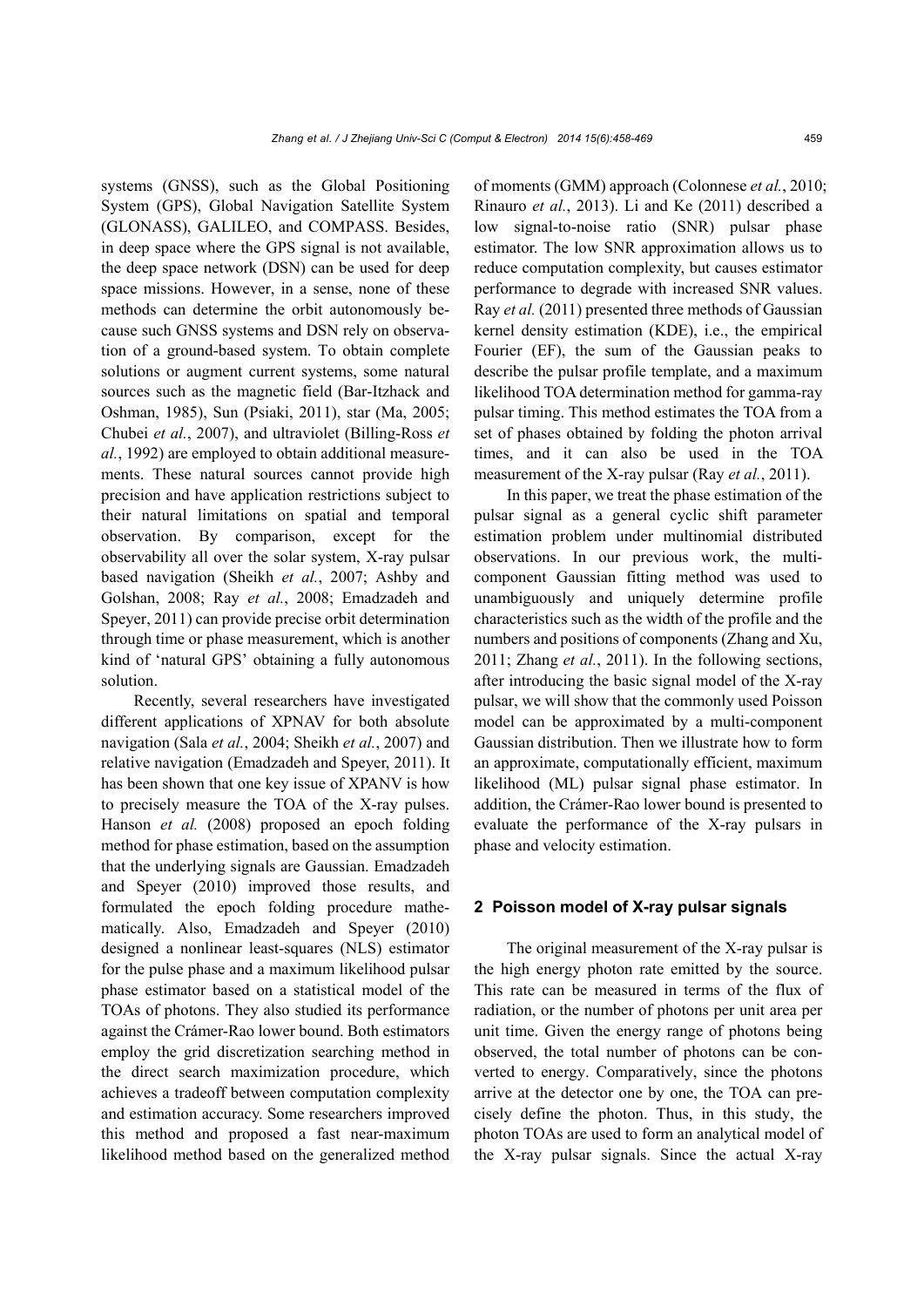systems (GNSS), such as the Global Positioning System (GPS), Global Navigation Satellite System (GLONASS), GALILEO, and COMPASS. Besides, in deep space where the GPS signal is not available, the deep space network (DSN) can be used for deep space missions. However, in a sense, none of these methods can determine the orbit autonomously because such GNSS systems and DSN rely on observation of a ground-based system. To obtain complete solutions or augment current systems, some natural sources such as the magnetic field (Bar-Itzhack and Oshman, 1985), Sun (Psiaki, 2011), star (Ma, 2005; Chubei *et al.*, 2007), and ultraviolet (Billing-Ross *et al.*, 1992) are employed to obtain additional measurements. These natural sources cannot provide high precision and have application restrictions subject to their natural limitations on spatial and temporal observation. By comparison, except for the observability all over the solar system, X-ray pulsar based navigation (Sheikh *et al.*, 2007; Ashby and Golshan, 2008; Ray *et al.*, 2008; Emadzadeh and Speyer, 2011) can provide precise orbit determination through time or phase measurement, which is another kind of 'natural GPS' obtaining a fully autonomous solution.

Recently, several researchers have investigated different applications of XPNAV for both absolute navigation (Sala *et al.*, 2004; Sheikh *et al.*, 2007) and relative navigation (Emadzadeh and Speyer, 2011). It has been shown that one key issue of XPANV is how to precisely measure the TOA of the X-ray pulses. Hanson *et al.* (2008) proposed an epoch folding method for phase estimation, based on the assumption that the underlying signals are Gaussian. Emadzadeh and Speyer (2010) improved those results, and formulated the epoch folding procedure mathematically. Also, Emadzadeh and Speyer (2010) designed a nonlinear least-squares (NLS) estimator for the pulse phase and a maximum likelihood pulsar phase estimator based on a statistical model of the TOAs of photons. They also studied its performance against the Crámer-Rao lower bound. Both estimators employ the grid discretization searching method in the direct search maximization procedure, which achieves a tradeoff between computation complexity and estimation accuracy. Some researchers improved this method and proposed a fast near-maximum likelihood method based on the generalized method of moments (GMM) approach (Colonnese *et al.*, 2010; Rinauro *et al.*, 2013). Li and Ke (2011) described a low signal-to-noise ratio (SNR) pulsar phase estimator. The low SNR approximation allows us to reduce computation complexity, but causes estimator performance to degrade with increased SNR values. Ray *et al.* (2011) presented three methods of Gaussian kernel density estimation (KDE), i.e., the empirical Fourier (EF), the sum of the Gaussian peaks to describe the pulsar profile template, and a maximum likelihood TOA determination method for gamma-ray pulsar timing. This method estimates the TOA from a set of phases obtained by folding the photon arrival times, and it can also be used in the TOA measurement of the X-ray pulsar (Ray *et al.*, 2011).

In this paper, we treat the phase estimation of the pulsar signal as a general cyclic shift parameter estimation problem under multinomial distributed observations. In our previous work, the multicomponent Gaussian fitting method was used to unambiguously and uniquely determine profile characteristics such as the width of the profile and the numbers and positions of components (Zhang and Xu, 2011; Zhang *et al.*, 2011). In the following sections, after introducing the basic signal model of the X-ray pulsar, we will show that the commonly used Poisson model can be approximated by a multi-component Gaussian distribution. Then we illustrate how to form an approximate, computationally efficient, maximum likelihood (ML) pulsar signal phase estimator. In addition, the Crámer-Rao lower bound is presented to evaluate the performance of the X-ray pulsars in phase and velocity estimation.

# **2 Poisson model of X-ray pulsar signals**

The original measurement of the X-ray pulsar is the high energy photon rate emitted by the source. This rate can be measured in terms of the flux of radiation, or the number of photons per unit area per unit time. Given the energy range of photons being observed, the total number of photons can be converted to energy. Comparatively, since the photons arrive at the detector one by one, the TOA can precisely define the photon. Thus, in this study, the photon TOAs are used to form an analytical model of the X-ray pulsar signals. Since the actual X-ray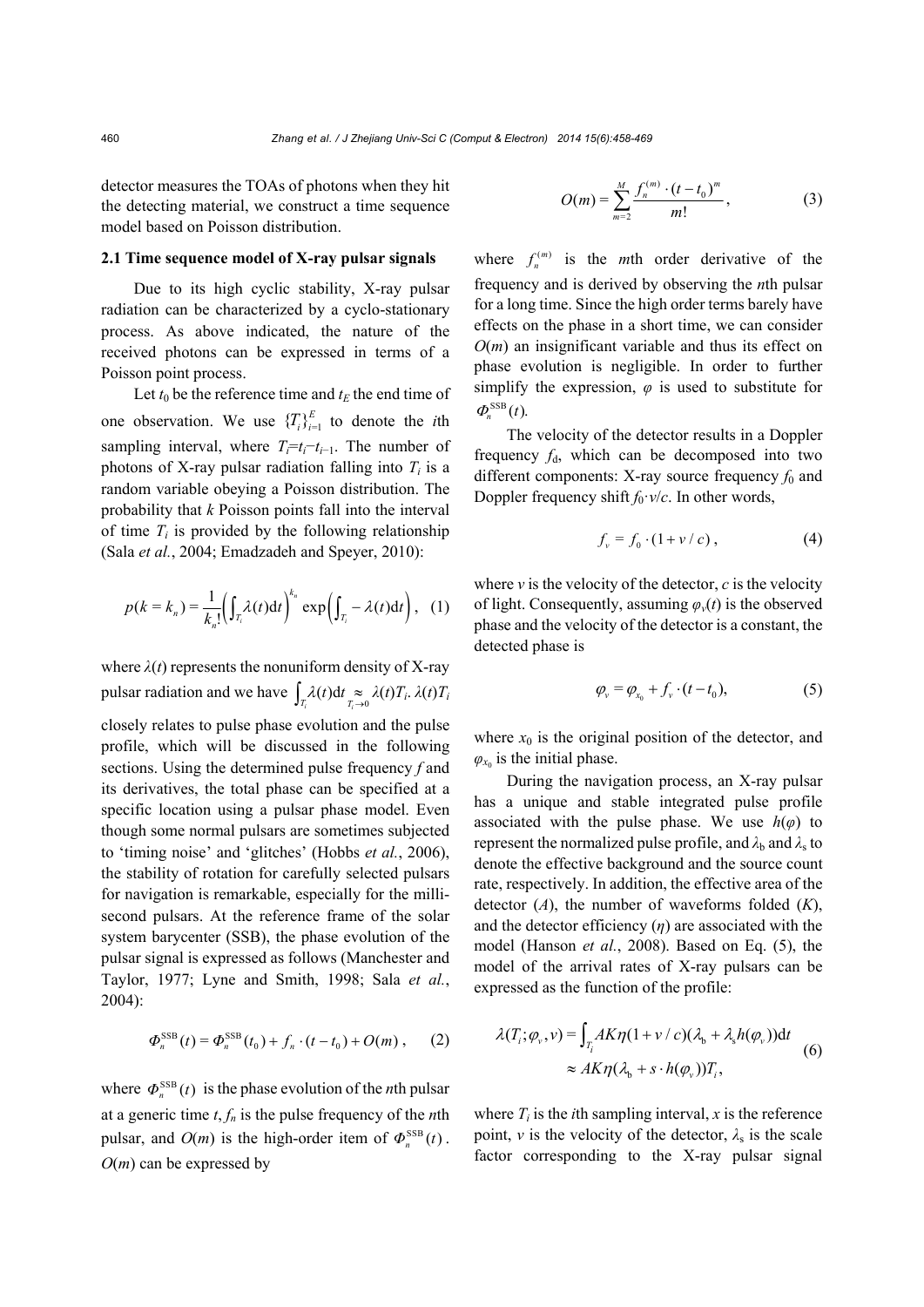detector measures the TOAs of photons when they hit the detecting material, we construct a time sequence model based on Poisson distribution.

#### **2.1 Time sequence model of X-ray pulsar signals**

Due to its high cyclic stability, X-ray pulsar radiation can be characterized by a cyclo-stationary process. As above indicated, the nature of the received photons can be expressed in terms of a Poisson point process.

Let  $t_0$  be the reference time and  $t_E$  the end time of one observation. We use  ${T_i}_{i=1}^{E}$  to denote the *i*th sampling interval, where  $T_i=t_i-t_{i-1}$ . The number of photons of X-ray pulsar radiation falling into  $T_i$  is a random variable obeying a Poisson distribution. The probability that *k* Poisson points fall into the interval of time  $T_i$  is provided by the following relationship (Sala *et al.*, 2004; Emadzadeh and Speyer, 2010):

$$
p(k = k_n) = \frac{1}{k_n!} \left( \int_{T_i} \lambda(t) dt \right)^{k_n} \exp \left( \int_{T_i} - \lambda(t) dt \right), \quad (1)
$$

where  $\lambda(t)$  represents the nonuniform density of X-ray pulsar radiation and we have  $\int_{T_i} \lambda(t) dt \underset{T_i \to 0}{\approx} \lambda(t) T_i$ .  $\lambda(t) T_i$ 

closely relates to pulse phase evolution and the pulse profile, which will be discussed in the following sections. Using the determined pulse frequency *f* and its derivatives, the total phase can be specified at a specific location using a pulsar phase model. Even though some normal pulsars are sometimes subjected to 'timing noise' and 'glitches' (Hobbs *et al.*, 2006), the stability of rotation for carefully selected pulsars for navigation is remarkable, especially for the millisecond pulsars. At the reference frame of the solar system barycenter (SSB), the phase evolution of the pulsar signal is expressed as follows (Manchester and Taylor, 1977; Lyne and Smith, 1998; Sala *et al.*, 2004):

$$
\Phi_n^{\text{SSB}}(t) = \Phi_n^{\text{SSB}}(t_0) + f_n \cdot (t - t_0) + O(m) , \qquad (2)
$$

where  $\Phi_n^{\text{SSB}}(t)$  is the phase evolution of the *n*th pulsar at a generic time *t*, *fn* is the pulse frequency of the *n*th pulsar, and  $O(m)$  is the high-order item of  $\Phi_n^{\text{SSB}}(t)$ . *O*(*m*) can be expressed by

$$
O(m) = \sum_{m=2}^{M} \frac{f_n^{(m)} \cdot (t - t_0)^m}{m!},
$$
 (3)

where  $f_n^{(m)}$  is the *m*th order derivative of the frequency and is derived by observing the *n*th pulsar for a long time. Since the high order terms barely have effects on the phase in a short time, we can consider *O*(*m*) an insignificant variable and thus its effect on phase evolution is negligible. In order to further simplify the expression,  $\varphi$  is used to substitute for  $\Phi^{\text{SSB}}(t)$ .

The velocity of the detector results in a Doppler frequency  $f_d$ , which can be decomposed into two different components: X-ray source frequency  $f_0$  and Doppler frequency shift  $f_0 \cdot v/c$ . In other words,

$$
f_{\nu} = f_0 \cdot (1 + \nu / c) , \qquad (4)
$$

where  $\nu$  is the velocity of the detector,  $c$  is the velocity of light. Consequently, assuming  $\varphi$ <sup>*v*</sup>(*t*) is the observed phase and the velocity of the detector is a constant, the detected phase is

$$
\varphi_{v} = \varphi_{x_0} + f_{v} \cdot (t - t_0), \tag{5}
$$

where  $x_0$  is the original position of the detector, and  $\varphi_{x_0}$  is the initial phase.

During the navigation process, an X-ray pulsar has a unique and stable integrated pulse profile associated with the pulse phase. We use  $h(\varphi)$  to represent the normalized pulse profile, and  $\lambda_b$  and  $\lambda_s$  to denote the effective background and the source count rate, respectively. In addition, the effective area of the detector (*A*), the number of waveforms folded (*K*), and the detector efficiency  $(\eta)$  are associated with the model (Hanson *et al.*, 2008). Based on Eq. (5), the model of the arrival rates of X-ray pulsars can be expressed as the function of the profile:

$$
\lambda(T_i; \varphi_v, v) = \int_{T_i} AK\eta(1 + v/c)(\lambda_b + \lambda_s h(\varphi_v))dt
$$
  
\n
$$
\approx AK\eta(\lambda_b + s \cdot h(\varphi_v))T_i,
$$
\n(6)

where  $T_i$  is the *i*th sampling interval,  $x$  is the reference point, *v* is the velocity of the detector,  $\lambda_s$  is the scale factor corresponding to the X-ray pulsar signal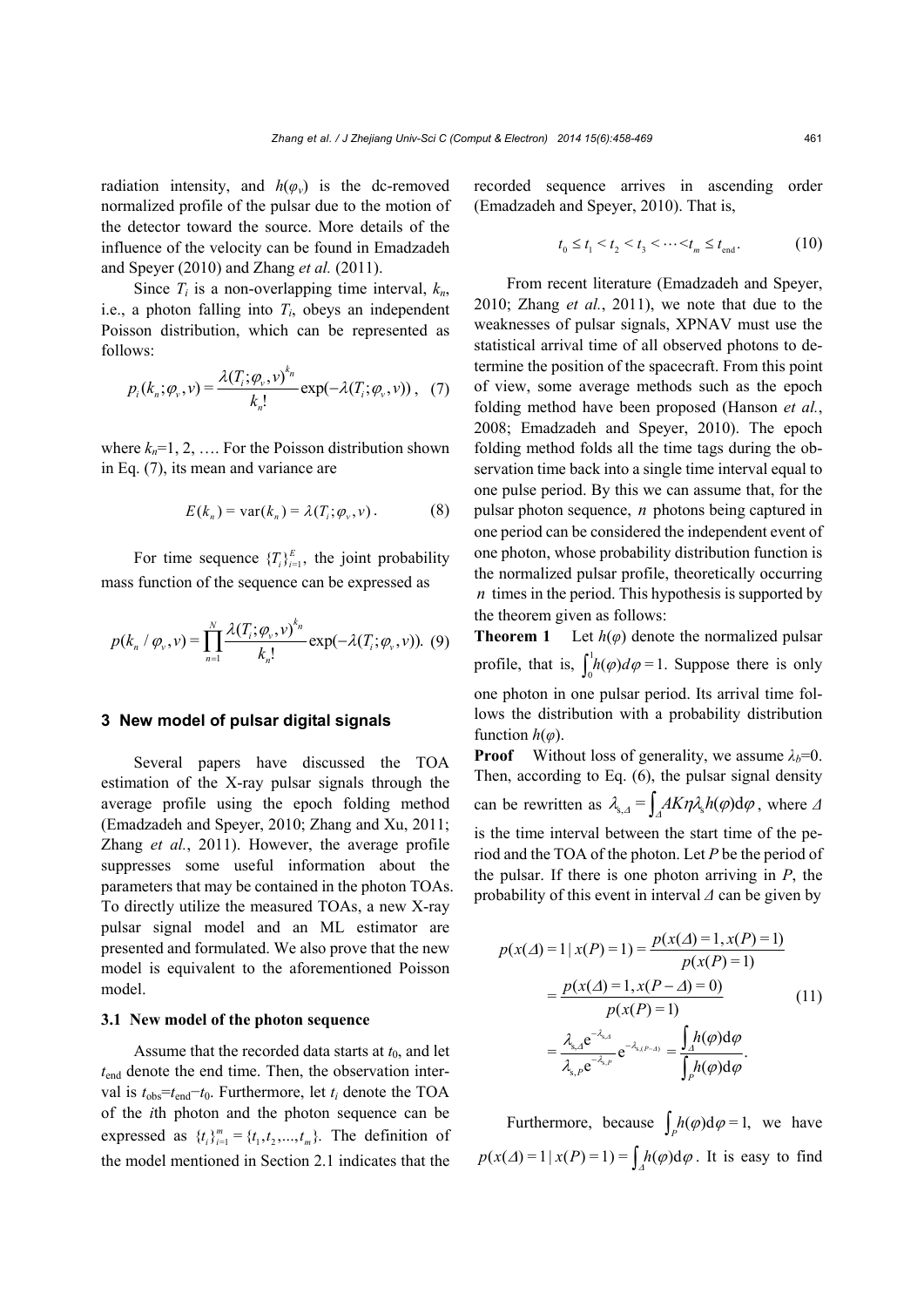radiation intensity, and  $h(\varphi_v)$  is the dc-removed normalized profile of the pulsar due to the motion of the detector toward the source. More details of the influence of the velocity can be found in Emadzadeh and Speyer (2010) and Zhang *et al.* (2011).

Since  $T_i$  is a non-overlapping time interval,  $k_n$ , i.e., a photon falling into  $T_i$ , obeys an independent Poisson distribution, which can be represented as follows:

$$
p_i(k_n; \varphi_\nu, \nu) = \frac{\lambda(T_i; \varphi_\nu, \nu)^{k_n}}{k_n!} \exp(-\lambda(T_i; \varphi_\nu, \nu)), \quad (7)
$$

where  $k_n=1, 2, \ldots$  For the Poisson distribution shown in Eq. (7), its mean and variance are

$$
E(k_n) = \text{var}(k_n) = \lambda(T_i; \varphi_v, v).
$$
 (8)

For time sequence  ${T_i}_{i=1}^{E}$ , the joint probability mass function of the sequence can be expressed as

$$
p(k_n / \varphi_v, v) = \prod_{n=1}^N \frac{\lambda(T_i; \varphi_v, v)^{k_n}}{k_n!} \exp(-\lambda(T_i; \varphi_v, v)). \tag{9}
$$

# **3 New model of pulsar digital signals**

Several papers have discussed the TOA estimation of the X-ray pulsar signals through the average profile using the epoch folding method (Emadzadeh and Speyer, 2010; Zhang and Xu, 2011; Zhang *et al.*, 2011). However, the average profile suppresses some useful information about the parameters that may be contained in the photon TOAs. To directly utilize the measured TOAs, a new X-ray pulsar signal model and an ML estimator are presented and formulated. We also prove that the new model is equivalent to the aforementioned Poisson model.

#### **3.1 New model of the photon sequence**

Assume that the recorded data starts at  $t_0$ , and let *t*end denote the end time. Then, the observation interval is  $t_{obs} = t_{end} - t_0$ . Furthermore, let  $t_i$  denote the TOA of the *i*th photon and the photon sequence can be expressed as  $\{t_i\}_{i=1}^m = \{t_1, t_2, ..., t_m\}$ . The definition of the model mentioned in Section 2.1 indicates that the

recorded sequence arrives in ascending order (Emadzadeh and Speyer, 2010). That is,

$$
t_0 \le t_1 < t_2 < t_3 < \dots < t_m \le t_{\text{end}}.\tag{10}
$$

From recent literature (Emadzadeh and Speyer, 2010; Zhang *et al.*, 2011), we note that due to the weaknesses of pulsar signals, XPNAV must use the statistical arrival time of all observed photons to determine the position of the spacecraft. From this point of view, some average methods such as the epoch folding method have been proposed (Hanson *et al.*, 2008; Emadzadeh and Speyer, 2010). The epoch folding method folds all the time tags during the observation time back into a single time interval equal to one pulse period. By this we can assume that, for the pulsar photon sequence, *n* photons being captured in one period can be considered the independent event of one photon, whose probability distribution function is the normalized pulsar profile, theoretically occurring *n* times in the period. This hypothesis is supported by the theorem given as follows:

**Theorem 1** Let  $h(\varphi)$  denote the normalized pulsar profile, that is,  $\int_0^1 h(\varphi) d\varphi = 1$ . Suppose there is only one photon in one pulsar period. Its arrival time follows the distribution with a probability distribution function  $h(\varphi)$ .

**Proof** Without loss of generality, we assume  $\lambda_b=0$ . Then, according to Eq. (6), the pulsar signal density can be rewritten as  $\lambda_{s, \Delta} = \int_{A} A K \eta \lambda_{s} h(\varphi) d\varphi$ , where  $\varDelta$ is the time interval between the start time of the period and the TOA of the photon. Let *P* be the period of the pulsar. If there is one photon arriving in *P*, the probability of this event in interval *Δ* can be given by

$$
p(x(\Delta) = 1 | x(P) = 1) = \frac{p(x(\Delta) = 1, x(P) = 1)}{p(x(P) = 1)}
$$
  
= 
$$
\frac{p(x(\Delta) = 1, x(P - \Delta) = 0)}{p(x(P) = 1)}
$$
(11)  
= 
$$
\frac{\lambda_{s,A}e^{-\lambda_{s,A}}}{\lambda_{s,P}e^{-\lambda_{s,P}}}e^{-\lambda_{s,P-\Delta}} = \frac{\int_A h(\varphi)d\varphi}{\int_P h(\varphi)d\varphi}.
$$

Furthermore, because  $\int_P h(\varphi) d\varphi = 1$ , we have  $p(x(\Delta) = 1 | x(P) = 1) = \int_A h(\varphi) d\varphi$ . It is easy to find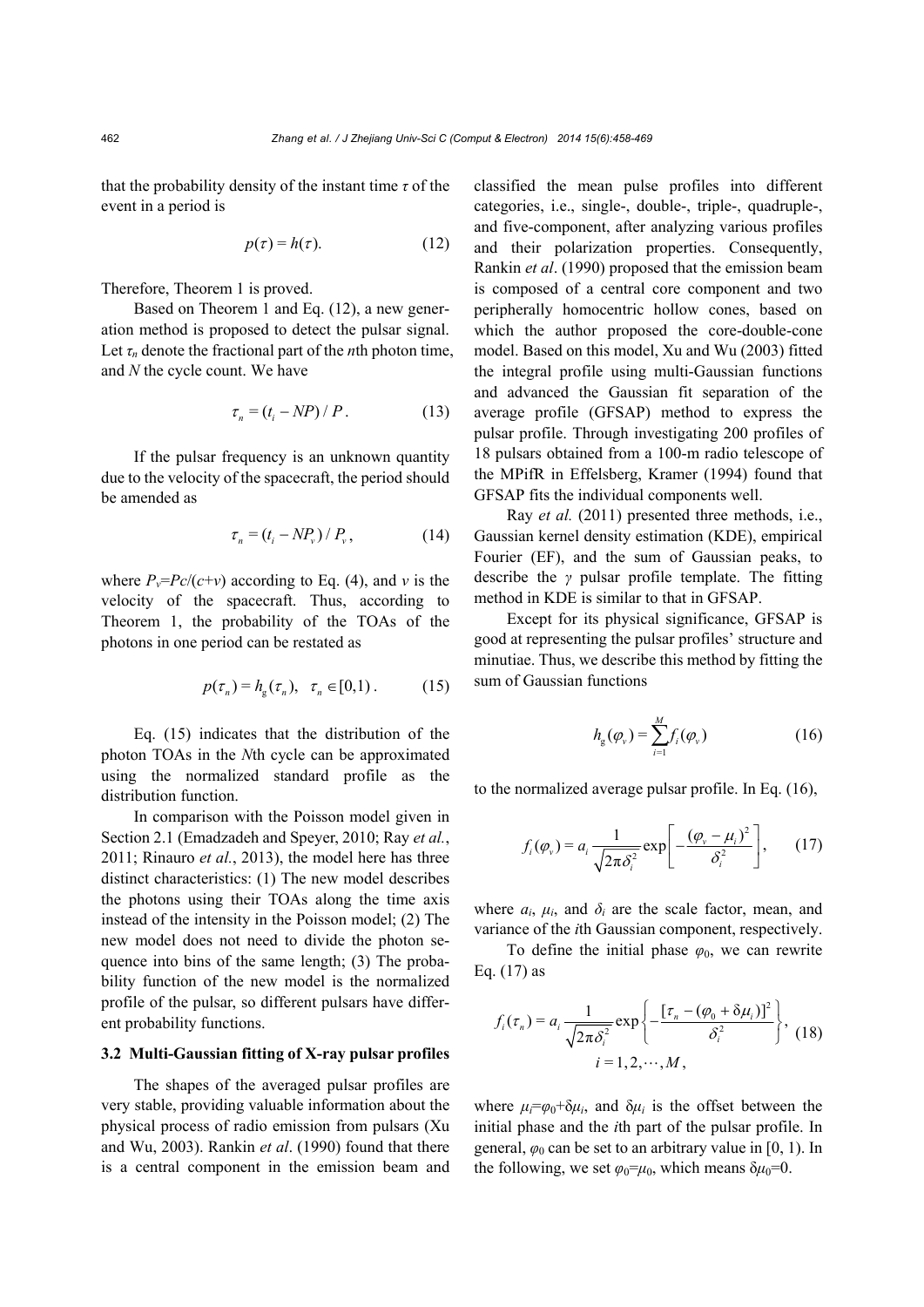that the probability density of the instant time *τ* of the event in a period is

$$
p(\tau) = h(\tau). \tag{12}
$$

Therefore, Theorem 1 is proved.

Based on Theorem 1 and Eq. (12), a new generation method is proposed to detect the pulsar signal. Let  $\tau_n$  denote the fractional part of the *n*th photon time, and *N* the cycle count. We have

$$
\tau_n = (t_i - NP) / P. \tag{13}
$$

If the pulsar frequency is an unknown quantity due to the velocity of the spacecraft, the period should be amended as

$$
\tau_n = (t_i - NP_v) / P_v, \qquad (14)
$$

where  $P_v = \frac{P_c}{(c+v)}$  according to Eq. (4), and *v* is the velocity of the spacecraft. Thus, according to Theorem 1, the probability of the TOAs of the photons in one period can be restated as

$$
p(\tau_n) = h_{\mathbf{g}}(\tau_n), \quad \tau_n \in [0,1).
$$
 (15)

Eq. (15) indicates that the distribution of the photon TOAs in the *N*th cycle can be approximated using the normalized standard profile as the distribution function.

In comparison with the Poisson model given in Section 2.1 (Emadzadeh and Speyer, 2010; Ray *et al.*, 2011; Rinauro *et al.*, 2013), the model here has three distinct characteristics: (1) The new model describes the photons using their TOAs along the time axis instead of the intensity in the Poisson model; (2) The new model does not need to divide the photon sequence into bins of the same length; (3) The probability function of the new model is the normalized profile of the pulsar, so different pulsars have different probability functions.

# **3.2 Multi-Gaussian fitting of X-ray pulsar profiles**

The shapes of the averaged pulsar profiles are very stable, providing valuable information about the physical process of radio emission from pulsars (Xu and Wu, 2003). Rankin *et al*. (1990) found that there is a central component in the emission beam and classified the mean pulse profiles into different categories, i.e., single-, double-, triple-, quadruple-, and five-component, after analyzing various profiles and their polarization properties. Consequently, Rankin *et al*. (1990) proposed that the emission beam is composed of a central core component and two peripherally homocentric hollow cones, based on which the author proposed the core-double-cone model. Based on this model, Xu and Wu (2003) fitted the integral profile using multi-Gaussian functions and advanced the Gaussian fit separation of the average profile (GFSAP) method to express the pulsar profile. Through investigating 200 profiles of 18 pulsars obtained from a 100-m radio telescope of the MPifR in Effelsberg, Kramer (1994) found that GFSAP fits the individual components well.

Ray *et al.* (2011) presented three methods, i.e., Gaussian kernel density estimation (KDE), empirical Fourier (EF), and the sum of Gaussian peaks, to describe the *γ* pulsar profile template. The fitting method in KDE is similar to that in GFSAP.

Except for its physical significance, GFSAP is good at representing the pulsar profiles' structure and minutiae. Thus, we describe this method by fitting the sum of Gaussian functions

$$
h_{g}(\varphi_{v}) = \sum_{i=1}^{M} f_{i}(\varphi_{v})
$$
 (16)

to the normalized average pulsar profile. In Eq. (16),

$$
f_i(\varphi_\nu) = a_i \frac{1}{\sqrt{2\pi\delta_i^2}} \exp\left[-\frac{(\varphi_\nu - \mu_i)^2}{\delta_i^2}\right],\qquad(17)
$$

where  $a_i$ ,  $\mu_i$ , and  $\delta_i$  are the scale factor, mean, and variance of the *i*th Gaussian component, respectively.

To define the initial phase  $\varphi_0$ , we can rewrite Eq.  $(17)$  as

$$
f_i(\tau_n) = a_i \frac{1}{\sqrt{2\pi\delta_i^2}} \exp\left\{-\frac{[\tau_n - (\varphi_0 + \delta\mu_i)]^2}{\delta_i^2}\right\}, \quad (18)
$$
  

$$
i = 1, 2, \cdots, M,
$$

where  $\mu_i = \varphi_0 + \delta \mu_i$ , and  $\delta \mu_i$  is the offset between the initial phase and the *i*th part of the pulsar profile. In general,  $\varphi_0$  can be set to an arbitrary value in [0, 1). In the following, we set  $\varphi_0 = \mu_0$ , which means  $\delta \mu_0 = 0$ .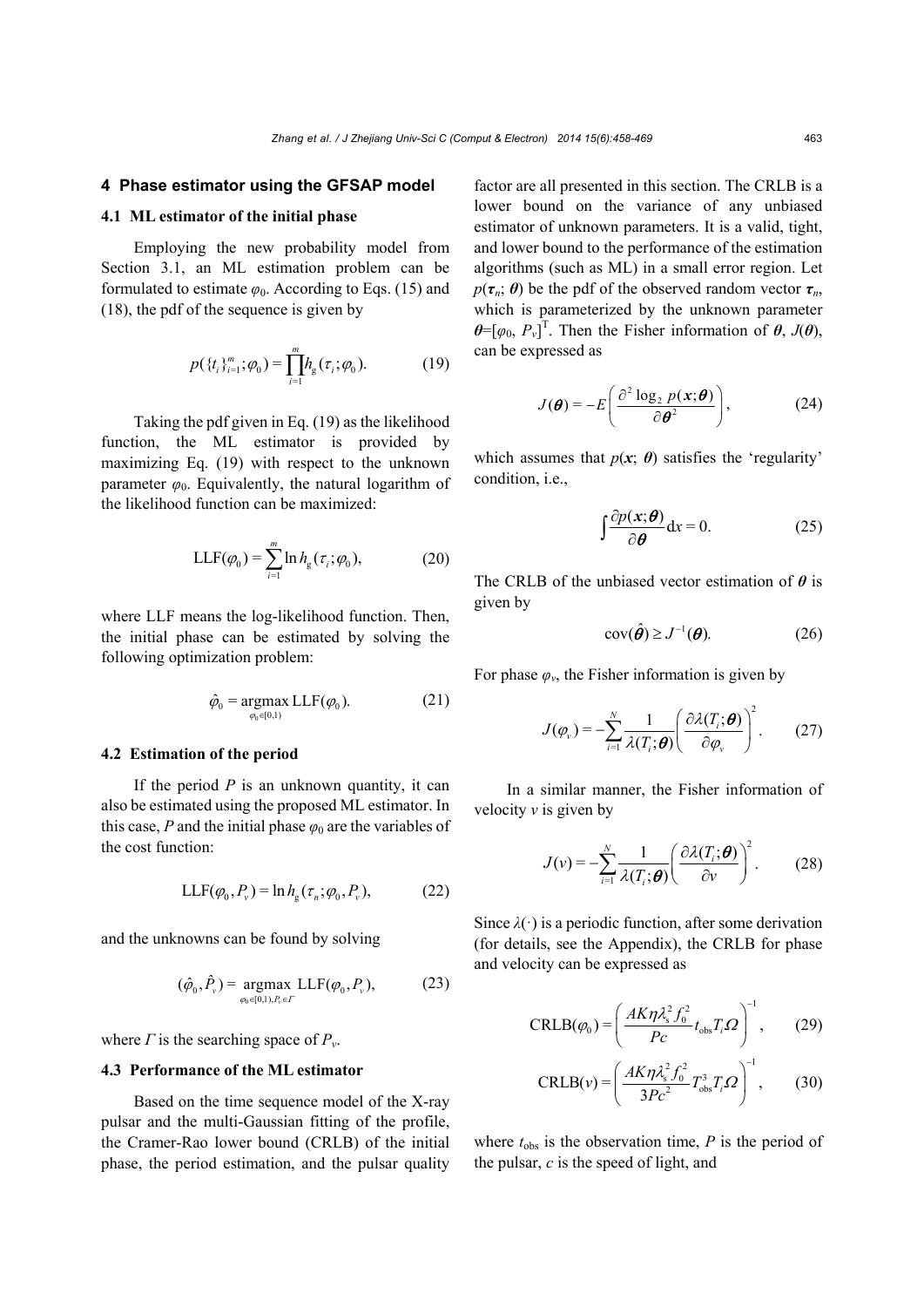# **4 Phase estimator using the GFSAP model**

#### **4.1 ML estimator of the initial phase**

Employing the new probability model from Section 3.1, an ML estimation problem can be formulated to estimate  $\varphi_0$ . According to Eqs. (15) and (18), the pdf of the sequence is given by

$$
p(\{t_i\}_{i=1}^m; \varphi_0) = \prod_{i=1}^m h_{\rm g}(\tau_i; \varphi_0). \tag{19}
$$

Taking the pdf given in Eq. (19) as the likelihood function, the ML estimator is provided by maximizing Eq. (19) with respect to the unknown parameter  $\varphi_0$ . Equivalently, the natural logarithm of the likelihood function can be maximized:

$$
LLF(\varphi_0) = \sum_{i=1}^{m} \ln h_{g}(\tau_i; \varphi_0), \tag{20}
$$

where LLF means the log-likelihood function. Then, the initial phase can be estimated by solving the following optimization problem:

$$
\hat{\varphi}_0 = \underset{\varphi_0 \in [0,1)}{\operatorname{argmax}} \,\mathrm{LLF}(\varphi_0). \tag{21}
$$

# **4.2 Estimation of the period**

If the period *P* is an unknown quantity, it can also be estimated using the proposed ML estimator. In this case, *P* and the initial phase  $\varphi_0$  are the variables of the cost function:

$$
LLF(\varphi_0, P_\nu) = \ln h_g(\tau_n; \varphi_0, P_\nu),\tag{22}
$$

and the unknowns can be found by solving

$$
(\hat{\varphi}_0, \hat{P}_v) = \underset{\varphi_0 \in [0,1), P_v \in \Gamma}{\text{argmax}} \text{LLF}(\varphi_0, P_v), \tag{23}
$$

where  $\Gamma$  is the searching space of  $P_v$ .

#### **4.3 Performance of the ML estimator**

Based on the time sequence model of the X-ray pulsar and the multi-Gaussian fitting of the profile, the Cramer-Rao lower bound (CRLB) of the initial phase, the period estimation, and the pulsar quality factor are all presented in this section. The CRLB is a lower bound on the variance of any unbiased estimator of unknown parameters. It is a valid, tight, and lower bound to the performance of the estimation algorithms (such as ML) in a small error region. Let  $p(\tau_n; \theta)$  be the pdf of the observed random vector  $\tau_n$ , which is parameterized by the unknown parameter  $\theta = [\varphi_0, P_v]$ <sup>T</sup>. Then the Fisher information of  $\theta$ , *J*( $\theta$ ), can be expressed as

$$
J(\boldsymbol{\theta}) = -E\left(\frac{\partial^2 \log_2 p(\mathbf{x}; \boldsymbol{\theta})}{\partial \boldsymbol{\theta}^2}\right),\tag{24}
$$

which assumes that  $p(x; \theta)$  satisfies the 'regularity' condition, i.e.,

$$
\int \frac{\partial p(x;\theta)}{\partial \theta} dx = 0.
$$
 (25)

The CRLB of the unbiased vector estimation of *θ* is given by

$$
cov(\hat{\boldsymbol{\theta}}) \ge J^{-1}(\boldsymbol{\theta}).
$$
 (26)

For phase  $\varphi$ <sup>*v*</sup>, the Fisher information is given by

$$
J(\varphi_{v}) = -\sum_{i=1}^{N} \frac{1}{\lambda(T_{i}; \boldsymbol{\theta})} \left( \frac{\partial \lambda(T_{i}; \boldsymbol{\theta})}{\partial \varphi_{v}} \right)^{2}.
$$
 (27)

In a similar manner, the Fisher information of velocity  $\nu$  is given by

$$
J(v) = -\sum_{i=1}^{N} \frac{1}{\lambda(T_i; \boldsymbol{\theta})} \left( \frac{\partial \lambda(T_i; \boldsymbol{\theta})}{\partial v} \right)^2.
$$
 (28)

Since  $\lambda(\cdot)$  is a periodic function, after some derivation (for details, see the Appendix), the CRLB for phase and velocity can be expressed as

$$
CRLB(\varphi_0) = \left(\frac{AK\eta \lambda_s^2 f_0^2}{Pc} t_{obs} T_i \Omega\right)^{-1},\qquad(29)
$$

$$
CRLB(v) = \left(\frac{AK\eta \lambda_{\rm s}^2 f_0^2}{3Pc^2} T_{\rm obs}^3 T_i \Omega\right)^{-1},\qquad(30)
$$

where  $t_{obs}$  is the observation time,  $P$  is the period of the pulsar, *c* is the speed of light, and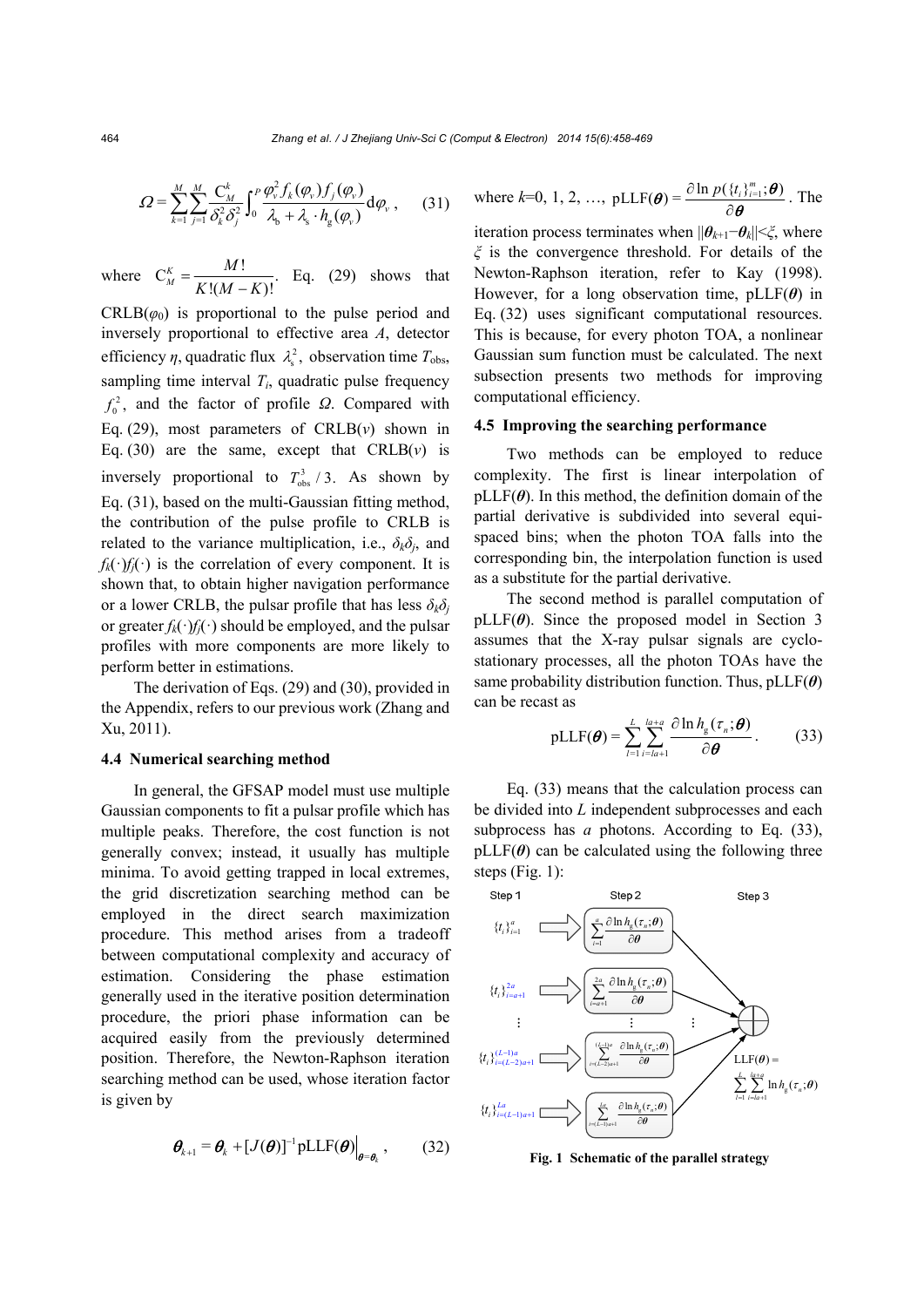$$
\varOmega = \sum_{k=1}^{M} \sum_{j=1}^{M} \frac{C_{M}^{k}}{\delta_{k}^{2} \delta_{j}^{2}} \int_{0}^{P} \frac{\varphi_{v}^{2} f_{k}(\varphi_{v}) f_{j}(\varphi_{v})}{\lambda_{b} + \lambda_{s} \cdot h_{g}(\varphi_{v})} d\varphi_{v}, \qquad (31)
$$

where ! C .  $!(M - K)!$ *K M*  $=\frac{M!}{K!(M-K)!}$ . Eq. (29) shows that

 $CRLB(\varphi_0)$  is proportional to the pulse period and inversely proportional to effective area *A*, detector efficiency  $\eta$ , quadratic flux  $\lambda_s^2$ , observation time  $T_{obs}$ , sampling time interval  $T_i$ , quadratic pulse frequency  $f_0^2$ , and the factor of profile *Ω*. Compared with Eq.  $(29)$ , most parameters of CRLB $(v)$  shown in Eq. (30) are the same, except that  $CRLB(v)$  is inversely proportional to  $T_{obs}^3$  / 3. As shown by Eq. (31), based on the multi-Gaussian fitting method, the contribution of the pulse profile to CRLB is related to the variance multiplication, i.e.,  $\delta_k \delta_j$ , and  $f_k(\cdot) f_i(\cdot)$  is the correlation of every component. It is shown that, to obtain higher navigation performance or a lower CRLB, the pulsar profile that has less  $\delta_k \delta_j$ or greater  $f_k(\cdot) f_j(\cdot)$  should be employed, and the pulsar profiles with more components are more likely to perform better in estimations.

The derivation of Eqs. (29) and (30), provided in the Appendix, refers to our previous work (Zhang and Xu, 2011).

#### **4.4 Numerical searching method**

In general, the GFSAP model must use multiple Gaussian components to fit a pulsar profile which has multiple peaks. Therefore, the cost function is not generally convex; instead, it usually has multiple minima. To avoid getting trapped in local extremes, the grid discretization searching method can be employed in the direct search maximization procedure. This method arises from a tradeoff between computational complexity and accuracy of estimation. Considering the phase estimation generally used in the iterative position determination procedure, the priori phase information can be acquired easily from the previously determined position. Therefore, the Newton-Raphson iteration searching method can be used, whose iteration factor is given by

$$
\boldsymbol{\theta}_{k+1} = \boldsymbol{\theta}_k + [J(\boldsymbol{\theta})]^{-1} \text{pLLF}(\boldsymbol{\theta})\big|_{\boldsymbol{\theta} = \boldsymbol{\theta}_k}, \qquad (32)
$$

where 
$$
k=0, 1, 2, ..., pLLF(\boldsymbol{\theta}) = \frac{\partial \ln p(\{t_i\}_{i=1}^m; \boldsymbol{\theta})}{\partial \boldsymbol{\theta}}
$$
. The

iteration process terminates when  $||\boldsymbol{\theta}_{k+1}-\boldsymbol{\theta}_k|| \leq \xi$ , where *ξ* is the convergence threshold. For details of the Newton-Raphson iteration, refer to Kay (1998). However, for a long observation time, pLLF(*θ*) in Eq. (32) uses significant computational resources. This is because, for every photon TOA, a nonlinear Gaussian sum function must be calculated. The next subsection presents two methods for improving computational efficiency.

#### **4.5 Improving the searching performance**

Two methods can be employed to reduce complexity. The first is linear interpolation of  $pLLF(\theta)$ . In this method, the definition domain of the partial derivative is subdivided into several equispaced bins; when the photon TOA falls into the corresponding bin, the interpolation function is used as a substitute for the partial derivative.

The second method is parallel computation of  $pLLF(\theta)$ . Since the proposed model in Section 3 assumes that the X-ray pulsar signals are cyclostationary processes, all the photon TOAs have the same probability distribution function. Thus, pLLF(*θ*) can be recast as

$$
\text{pLLF}(\boldsymbol{\theta}) = \sum_{l=1}^{L} \sum_{i=l a+1}^{l a+a} \frac{\partial \ln h_{\text{g}}(\tau_n; \boldsymbol{\theta})}{\partial \boldsymbol{\theta}}.
$$
 (33)

Eq. (33) means that the calculation process can be divided into *L* independent subprocesses and each subprocess has *a* photons. According to Eq. (33),  $pLLF(\theta)$  can be calculated using the following three steps (Fig. 1):



**Fig. 1 Schematic of the parallel strategy**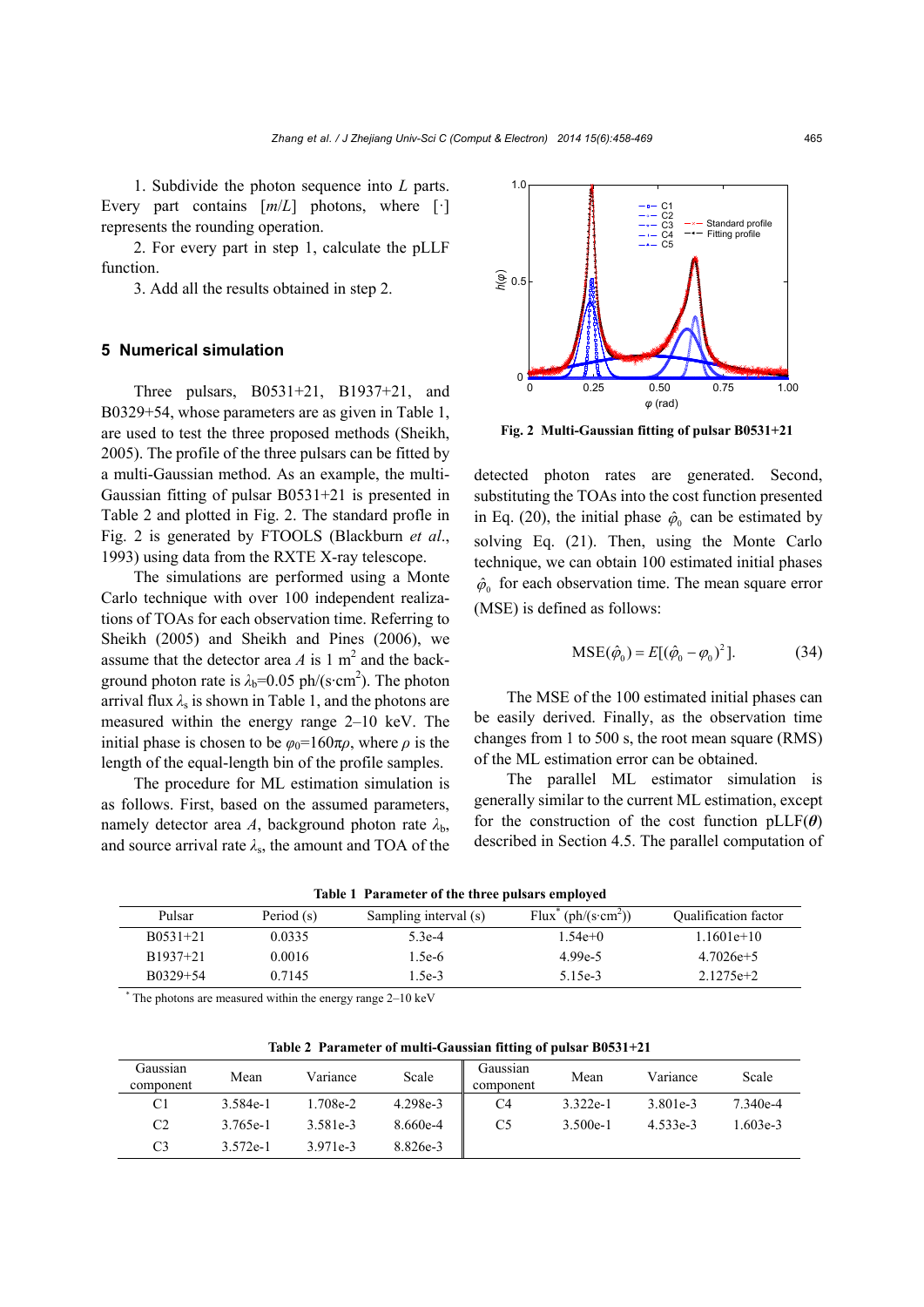1. Subdivide the photon sequence into *L* parts. Every part contains  $\left[\frac{m}{L}\right]$  photons, where  $\left[\cdot\right]$ represents the rounding operation.

2. For every part in step 1, calculate the pLLF function.

3. Add all the results obtained in step 2.

# **5 Numerical simulation**

Three pulsars, B0531+21, B1937+21, and B0329+54, whose parameters are as given in Table 1, are used to test the three proposed methods (Sheikh, 2005). The profile of the three pulsars can be fitted by a multi-Gaussian method. As an example, the multi-Gaussian fitting of pulsar B0531+21 is presented in Table 2 and plotted in Fig. 2. The standard profle in Fig. 2 is generated by FTOOLS (Blackburn *et al*., 1993) using data from the RXTE X-ray telescope.

The simulations are performed using a Monte Carlo technique with over 100 independent realizations of TOAs for each observation time. Referring to Sheikh (2005) and Sheikh and Pines (2006), we assume that the detector area  $A$  is 1 m<sup>2</sup> and the background photon rate is  $\lambda_b = 0.05 \text{ ph/(s/cm}^2)$ . The photon arrival flux  $\lambda_s$  is shown in Table 1, and the photons are measured within the energy range 2–10 keV. The initial phase is chosen to be  $\varphi_0 = 160\pi\rho$ , where  $\rho$  is the length of the equal-length bin of the profile samples.

The procedure for ML estimation simulation is as follows. First, based on the assumed parameters, namely detector area *A*, background photon rate  $\lambda_{b}$ , and source arrival rate  $\lambda_s$ , the amount and TOA of the



**Fig. 2 Multi-Gaussian fitting of pulsar B0531+21**

detected photon rates are generated. Second, substituting the TOAs into the cost function presented in Eq. (20), the initial phase  $\hat{\varphi}_0$  can be estimated by solving Eq. (21). Then, using the Monte Carlo technique, we can obtain 100 estimated initial phases  $\hat{\varphi}_0$  for each observation time. The mean square error (MSE) is defined as follows:

$$
MSE(\hat{\phi}_0) = E[(\hat{\phi}_0 - \phi_0)^2].
$$
 (34)

The MSE of the 100 estimated initial phases can be easily derived. Finally, as the observation time changes from 1 to 500 s, the root mean square (RMS) of the ML estimation error can be obtained.

The parallel ML estimator simulation is generally similar to the current ML estimation, except for the construction of the cost function  $pLLF(\theta)$ described in Section 4.5. The parallel computation of

| $\ldots$        |            |                       |                                             |                             |  |  |  |  |  |
|-----------------|------------|-----------------------|---------------------------------------------|-----------------------------|--|--|--|--|--|
| Pulsar          | Period (s) | Sampling interval (s) | Flux <sup>*</sup> (ph/(s·cm <sup>2</sup> )) | <b>Qualification factor</b> |  |  |  |  |  |
| $B(0.531 + 21)$ | 0.0335     | 5.3e-4                | $1.54e+0$                                   | $1.1601e+10$                |  |  |  |  |  |
| B1937+21        | 0.0016     | $1.5e-6$              | 4.99e-5                                     | $4.7026e+5$                 |  |  |  |  |  |
| B0329+54        | 0.7145     | $1.5e-3$              | 5.15e-3                                     | $2.1275e+2$                 |  |  |  |  |  |
|                 |            |                       |                                             |                             |  |  |  |  |  |

**Table 1 Parameter of the three pulsars employed** 

\* The photons are measured within the energy range 2–10 keV

| Table 2 Parameter of multi-Gaussian fitting of pulsar B0531+21 |  |
|----------------------------------------------------------------|--|
|----------------------------------------------------------------|--|

| Gaussian<br>component | Mean     | Variance | Scale    | Gaussian<br>component | Mean       | Variance | Scale     |
|-----------------------|----------|----------|----------|-----------------------|------------|----------|-----------|
| C1                    | 3.584e-1 | 1.708e-2 | 4.298e-3 | C <sub>4</sub>        | $3.322e-1$ | 3.801e-3 | 7.340e-4  |
| C <sub>2</sub>        | 3.765e-1 | 3.581e-3 | 8.660e-4 | C5                    | $3.500e-1$ | 4.533e-3 | $.603e-3$ |
| C3                    | 3.572e-1 | 3.971e-3 | 8.826e-3 |                       |            |          |           |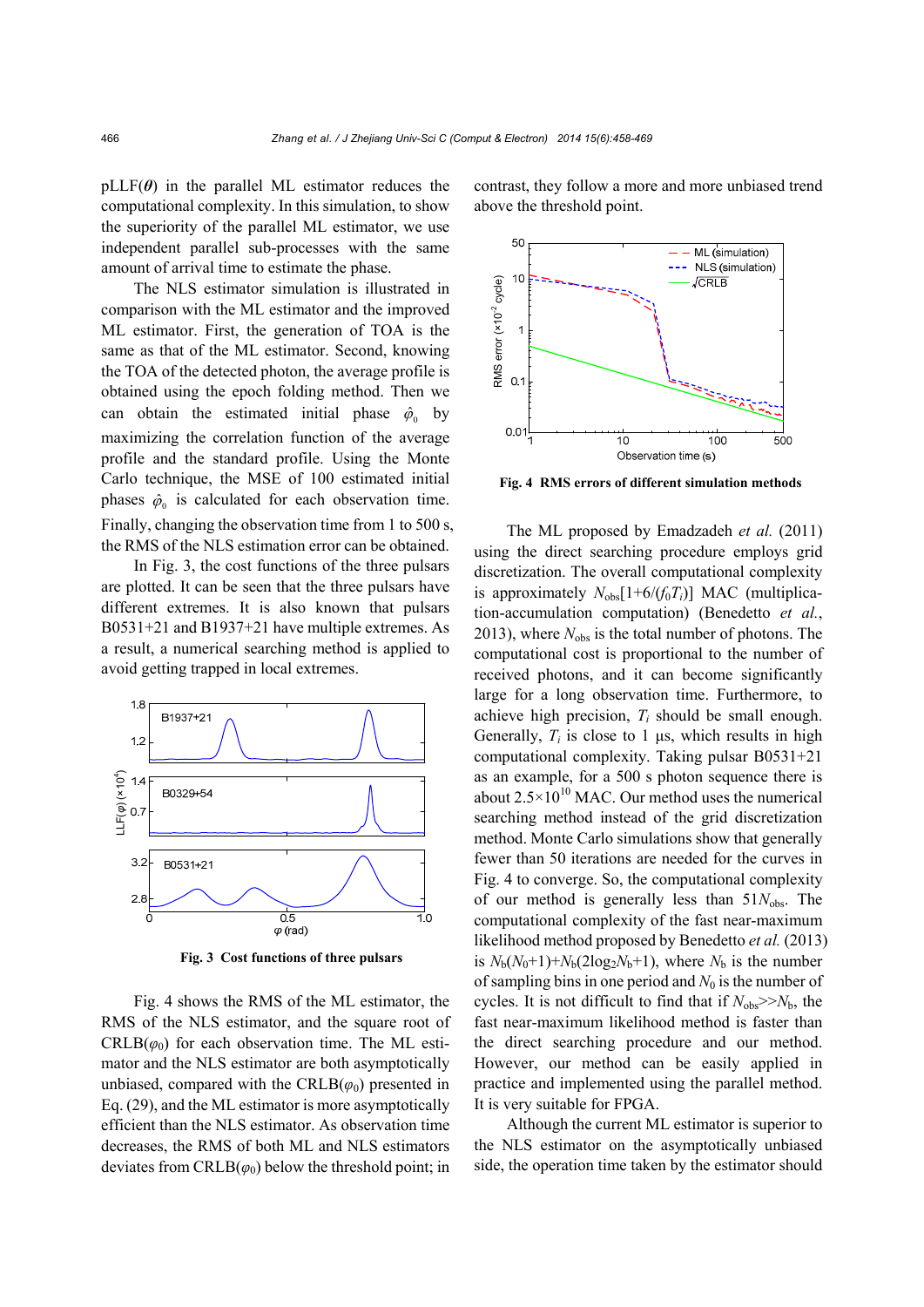$pLLF(\theta)$  in the parallel ML estimator reduces the computational complexity. In this simulation, to show the superiority of the parallel ML estimator, we use independent parallel sub-processes with the same amount of arrival time to estimate the phase.

The NLS estimator simulation is illustrated in comparison with the ML estimator and the improved ML estimator. First, the generation of TOA is the same as that of the ML estimator. Second, knowing the TOA of the detected photon, the average profile is obtained using the epoch folding method. Then we can obtain the estimated initial phase  $\hat{\varphi}_0$  by maximizing the correlation function of the average profile and the standard profile. Using the Monte Carlo technique, the MSE of 100 estimated initial phases  $\hat{\varphi}_0$  is calculated for each observation time. Finally, changing the observation time from 1 to 500 s, the RMS of the NLS estimation error can be obtained.

In Fig. 3, the cost functions of the three pulsars are plotted. It can be seen that the three pulsars have different extremes. It is also known that pulsars B0531+21 and B1937+21 have multiple extremes. As a result, a numerical searching method is applied to avoid getting trapped in local extremes.



**Fig. 3 Cost functions of three pulsars**

Fig. 4 shows the RMS of the ML estimator, the RMS of the NLS estimator, and the square root of  $CRLB(\varphi_0)$  for each observation time. The ML estimator and the NLS estimator are both asymptotically unbiased, compared with the  $CRLB(\varphi_0)$  presented in Eq. (29), and the ML estimator is more asymptotically efficient than the NLS estimator. As observation time decreases, the RMS of both ML and NLS estimators deviates from  $CRLB(\varphi_0)$  below the threshold point; in

contrast, they follow a more and more unbiased trend above the threshold point.



**Fig. 4 RMS errors of different simulation methods**

The ML proposed by Emadzadeh *et al.* (2011) using the direct searching procedure employs grid discretization. The overall computational complexity is approximately  $N_{obs}[1+6/(f_0T_i)]$  MAC (multiplication-accumulation computation) (Benedetto *et al.*, 2013), where  $N_{obs}$  is the total number of photons. The computational cost is proportional to the number of received photons, and it can become significantly large for a long observation time. Furthermore, to achieve high precision, *Ti* should be small enough. Generally,  $T_i$  is close to 1  $\mu$ s, which results in high computational complexity. Taking pulsar B0531+21 as an example, for a 500 s photon sequence there is about  $2.5 \times 10^{10}$  MAC. Our method uses the numerical searching method instead of the grid discretization method. Monte Carlo simulations show that generally fewer than 50 iterations are needed for the curves in Fig. 4 to converge. So, the computational complexity of our method is generally less than  $51N<sub>obs</sub>$ . The computational complexity of the fast near-maximum likelihood method proposed by Benedetto *et al.* (2013) is  $N_b(N_0+1)+N_b(2\log_2N_b+1)$ , where  $N_b$  is the number of sampling bins in one period and  $N_0$  is the number of cycles. It is not difficult to find that if  $N_{obs}>>N_b$ , the fast near-maximum likelihood method is faster than the direct searching procedure and our method. However, our method can be easily applied in practice and implemented using the parallel method. It is very suitable for FPGA.

Although the current ML estimator is superior to the NLS estimator on the asymptotically unbiased side, the operation time taken by the estimator should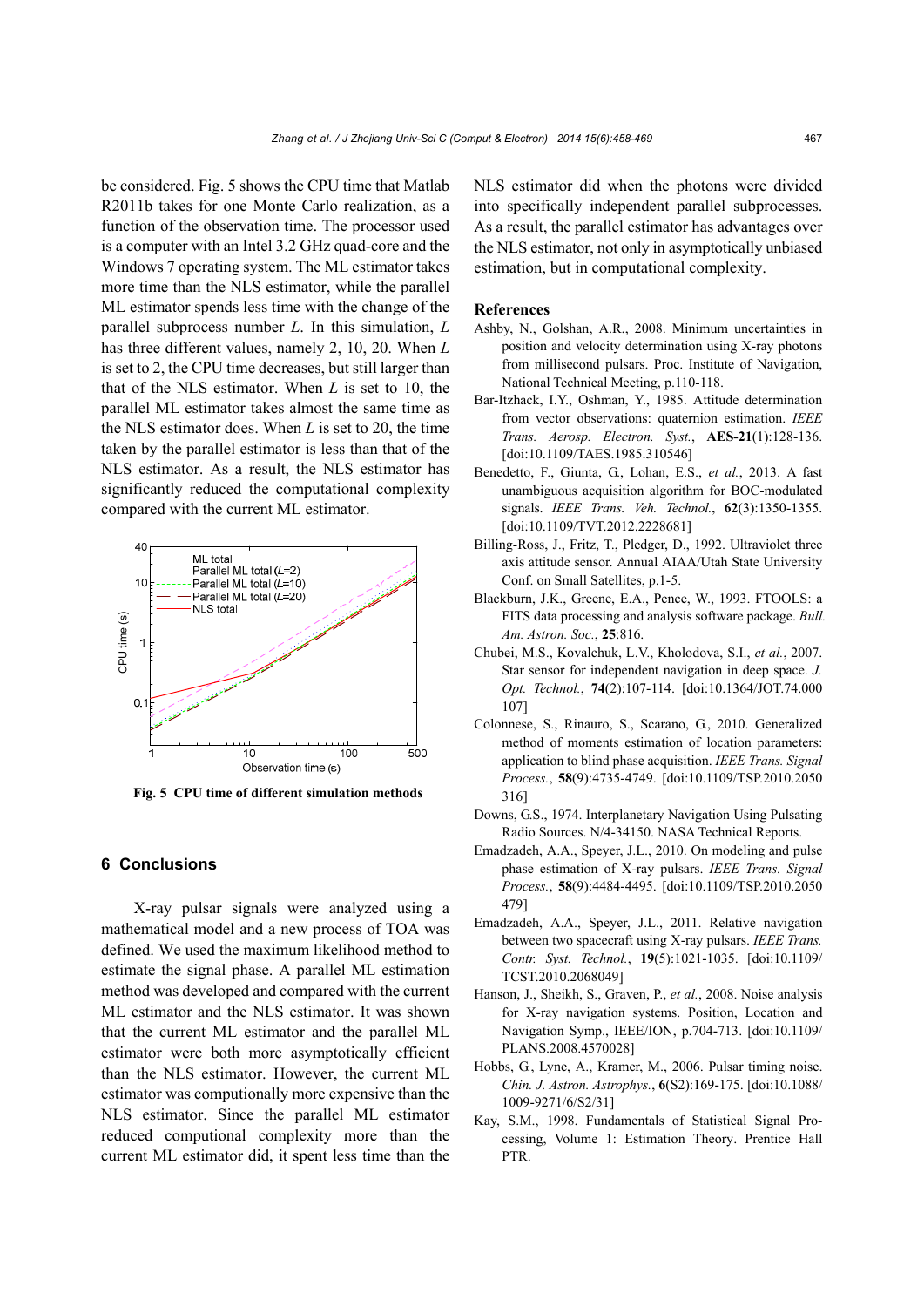be considered. Fig. 5 shows the CPU time that Matlab R2011b takes for one Monte Carlo realization, as a function of the observation time. The processor used is a computer with an Intel 3.2 GHz quad-core and the Windows 7 operating system. The ML estimator takes more time than the NLS estimator, while the parallel ML estimator spends less time with the change of the parallel subprocess number *L*. In this simulation, *L*  has three different values, namely 2, 10, 20. When *L*  is set to 2, the CPU time decreases, but still larger than that of the NLS estimator. When *L* is set to 10, the parallel ML estimator takes almost the same time as the NLS estimator does. When *L* is set to 20, the time taken by the parallel estimator is less than that of the NLS estimator. As a result, the NLS estimator has significantly reduced the computational complexity compared with the current ML estimator.



**Fig. 5 CPU time of different simulation methods**

# **6 Conclusions**

X-ray pulsar signals were analyzed using a mathematical model and a new process of TOA was defined. We used the maximum likelihood method to estimate the signal phase. A parallel ML estimation method was developed and compared with the current ML estimator and the NLS estimator. It was shown that the current ML estimator and the parallel ML estimator were both more asymptotically efficient than the NLS estimator. However, the current ML estimator was computionally more expensive than the NLS estimator. Since the parallel ML estimator reduced computional complexity more than the current ML estimator did, it spent less time than the NLS estimator did when the photons were divided into specifically independent parallel subprocesses. As a result, the parallel estimator has advantages over the NLS estimator, not only in asymptotically unbiased estimation, but in computational complexity.

#### **References**

- Ashby, N., Golshan, A.R., 2008. Minimum uncertainties in position and velocity determination using X-ray photons from millisecond pulsars. Proc. Institute of Navigation, National Technical Meeting, p.110-118.
- Bar-Itzhack, I.Y., Oshman, Y., 1985. Attitude determination from vector observations: quaternion estimation. *IEEE Trans. Aerosp. Electron. Syst.*, **AES-21**(1):128-136. [doi:10.1109/TAES.1985.310546]
- Benedetto, F., Giunta, G., Lohan, E.S., *et al.*, 2013. A fast unambiguous acquisition algorithm for BOC-modulated signals. *IEEE Trans. Veh. Technol.*, **62**(3):1350-1355. [doi:10.1109/TVT.2012.2228681]
- Billing-Ross, J., Fritz, T., Pledger, D., 1992. Ultraviolet three axis attitude sensor. Annual AIAA/Utah State University Conf. on Small Satellites, p.1-5.
- Blackburn, J.K., Greene, E.A., Pence, W., 1993. FTOOLS: a FITS data processing and analysis software package. *Bull. Am. Astron. Soc.*, **25**:816.
- Chubei, M.S., Kovalchuk, L.V., Kholodova, S.I., *et al.*, 2007. Star sensor for independent navigation in deep space. *J. Opt. Technol.*, **74**(2):107-114. [doi:10.1364/JOT.74.000 107]
- Colonnese, S., Rinauro, S., Scarano, G., 2010. Generalized method of moments estimation of location parameters: application to blind phase acquisition. *IEEE Trans. Signal Process.*, **58**(9):4735-4749. [doi:10.1109/TSP.2010.2050 316]
- Downs, G.S., 1974. Interplanetary Navigation Using Pulsating Radio Sources. N/4-34150. NASA Technical Reports.
- Emadzadeh, A.A., Speyer, J.L., 2010. On modeling and pulse phase estimation of X-ray pulsars. *IEEE Trans. Signal Process.*, **58**(9):4484-4495. [doi:10.1109/TSP.2010.2050 479]
- Emadzadeh, A.A., Speyer, J.L., 2011. Relative navigation between two spacecraft using X-ray pulsars. *IEEE Trans. Contr. Syst. Technol.*, **19**(5):1021-1035. [doi:10.1109/ TCST.2010.2068049]
- Hanson, J., Sheikh, S., Graven, P., *et al.*, 2008. Noise analysis for X-ray navigation systems. Position, Location and Navigation Symp., IEEE/ION, p.704-713. [doi:10.1109/ PLANS.2008.4570028]
- Hobbs, G., Lyne, A., Kramer, M., 2006. Pulsar timing noise. *Chin. J. Astron. Astrophys.*, **6**(S2):169-175. [doi:10.1088/ 1009-9271/6/S2/31]
- Kay, S.M., 1998. Fundamentals of Statistical Signal Processing, Volume 1: Estimation Theory. Prentice Hall PTR.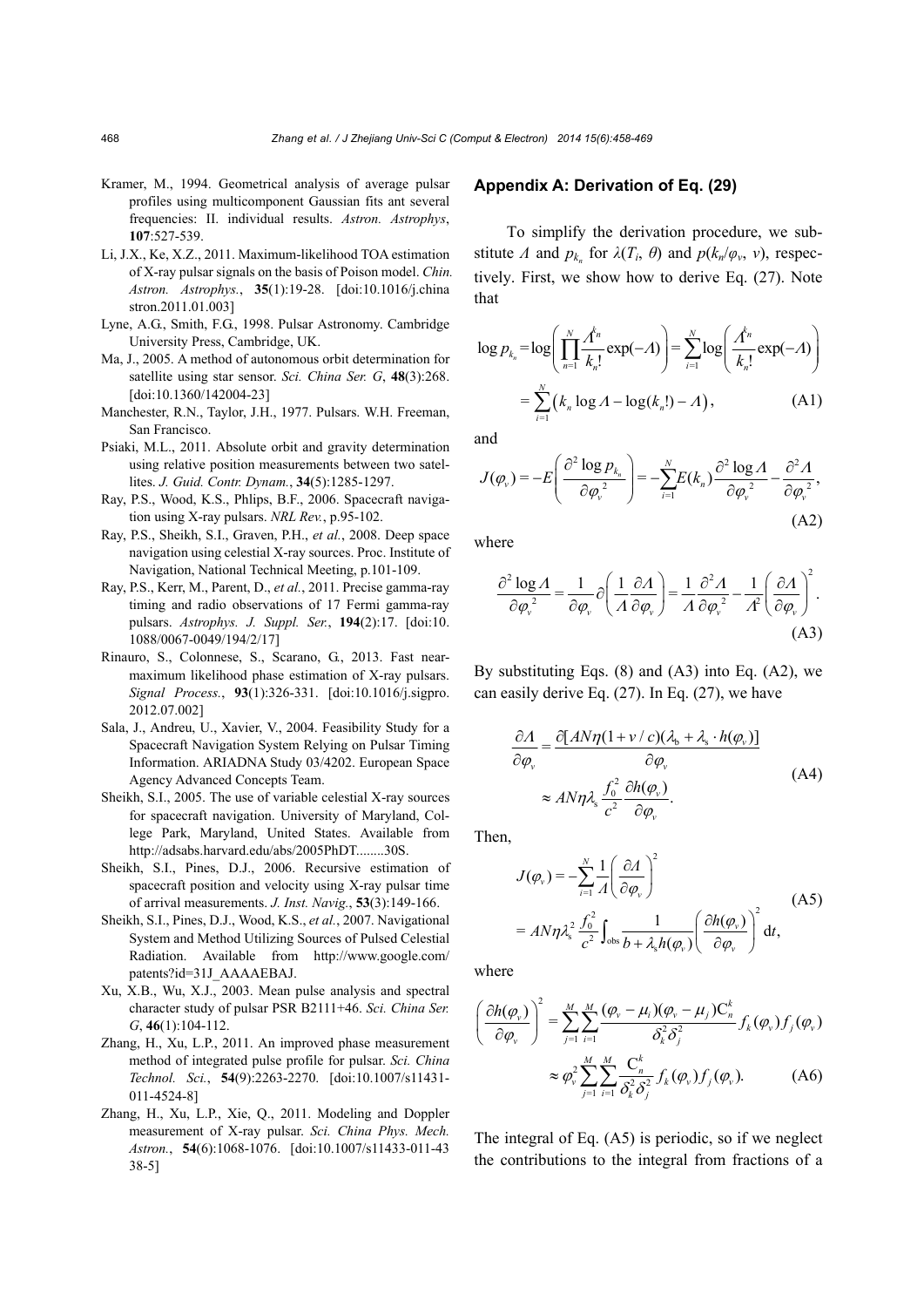- Kramer, M., 1994. Geometrical analysis of average pulsar profiles using multicomponent Gaussian fits ant several frequencies: II. individual results. *Astron. Astrophys*, **107**:527-539.
- Li, J.X., Ke, X.Z., 2011. Maximum-likelihood TOA estimation of X-ray pulsar signals on the basis of Poison model. *Chin. Astron. Astrophys.*, **35**(1):19-28. [doi:10.1016/j.china stron.2011.01.003]
- Lyne, A.G., Smith, F.G., 1998. Pulsar Astronomy. Cambridge University Press, Cambridge, UK.
- Ma, J., 2005. A method of autonomous orbit determination for satellite using star sensor. *Sci. China Ser. G*, **48**(3):268. [doi:10.1360/142004-23]
- Manchester, R.N., Taylor, J.H., 1977. Pulsars. W.H. Freeman, San Francisco.
- Psiaki, M.L., 2011. Absolute orbit and gravity determination using relative position measurements between two satellites. *J. Guid. Contr. Dynam.*, **34**(5):1285-1297.
- Ray, P.S., Wood, K.S., Phlips, B.F., 2006. Spacecraft navigation using X-ray pulsars. *NRL Rev.*, p.95-102.
- Ray, P.S., Sheikh, S.I., Graven, P.H., *et al.*, 2008. Deep space navigation using celestial X-ray sources. Proc. Institute of Navigation, National Technical Meeting, p.101-109.
- Ray, P.S., Kerr, M., Parent, D., *et al.*, 2011. Precise gamma-ray timing and radio observations of 17 Fermi gamma-ray pulsars. *Astrophys. J. Suppl. Ser.*, **194**(2):17. [doi:10. 1088/0067-0049/194/2/17]
- Rinauro, S., Colonnese, S., Scarano, G., 2013. Fast nearmaximum likelihood phase estimation of X-ray pulsars. *Signal Process.*, **93**(1):326-331. [doi:10.1016/j.sigpro. 2012.07.002]
- Sala, J., Andreu, U., Xavier, V., 2004. Feasibility Study for a Spacecraft Navigation System Relying on Pulsar Timing Information. ARIADNA Study 03/4202. European Space Agency Advanced Concepts Team.
- Sheikh, S.I., 2005. The use of variable celestial X-ray sources for spacecraft navigation. University of Maryland, College Park, Maryland, United States. Available from http://adsabs.harvard.edu/abs/2005PhDT........30S.
- Sheikh, S.I., Pines, D.J., 2006. Recursive estimation of spacecraft position and velocity using X-ray pulsar time of arrival measurements. *J. Inst. Navig.*, **53**(3):149-166.
- Sheikh, S.I., Pines, D.J., Wood, K.S., *et al.*, 2007. Navigational System and Method Utilizing Sources of Pulsed Celestial Radiation. Available from http://www.google.com/ patents?id=31J\_AAAAEBAJ.
- Xu, X.B., Wu, X.J., 2003. Mean pulse analysis and spectral character study of pulsar PSR B2111+46. *Sci. China Ser. G*, **46**(1):104-112.
- Zhang, H., Xu, L.P., 2011. An improved phase measurement method of integrated pulse profile for pulsar. *Sci. China Technol. Sci.*, **54**(9):2263-2270. [doi:10.1007/s11431- 011-4524-8]
- Zhang, H., Xu, L.P., Xie, Q., 2011. Modeling and Doppler measurement of X-ray pulsar. *Sci. China Phys. Mech. Astron.*, **54**(6):1068-1076. [doi:10.1007/s11433-011-43 38-5]

#### **Appendix A: Derivation of Eq. (29)**

To simplify the derivation procedure, we substitute *Λ* and  $p_{k_n}$  for  $\lambda(T_i, \theta)$  and  $p(k_n/\varphi_\nu, \nu)$ , respectively. First, we show how to derive Eq. (27). Note that

$$
\log p_{k_n} = \log \left( \prod_{n=1}^{N} \frac{A^n}{k_n!} \exp(-A) \right) = \sum_{i=1}^{N} \log \left( \frac{A^n}{k_n!} \exp(-A) \right)
$$

$$
= \sum_{i=1}^{N} (k_n \log A - \log(k_n!) - A), \tag{A1}
$$

and

$$
J(\varphi_{v}) = -E\left(\frac{\partial^{2} \log P_{k_{n}}}{\partial \varphi_{v}^{2}}\right) = -\sum_{i=1}^{N} E(k_{n}) \frac{\partial^{2} \log A}{\partial \varphi_{v}^{2}} - \frac{\partial^{2} A}{\partial \varphi_{v}^{2}},
$$
\n(A2)

where

$$
\frac{\partial^2 \log A}{\partial \varphi_v^2} = \frac{1}{\partial \varphi_v} \partial \left( \frac{1}{A} \frac{\partial A}{\partial \varphi_v} \right) = \frac{1}{A} \frac{\partial^2 A}{\partial \varphi_v^2} - \frac{1}{A^2} \left( \frac{\partial A}{\partial \varphi_v} \right)^2.
$$
\n(A3)

By substituting Eqs.  $(8)$  and  $(A3)$  into Eq.  $(A2)$ , we can easily derive Eq. (27). In Eq. (27), we have

$$
\frac{\partial A}{\partial \varphi_{v}} = \frac{\partial [AN\eta(1 + v/c)(\lambda_{b} + \lambda_{s} \cdot h(\varphi_{v}))]}{\partial \varphi_{v}}
$$
\n
$$
\approx AN\eta \lambda_{s} \frac{f_{0}^{2}}{c^{2}} \frac{\partial h(\varphi_{v})}{\partial \varphi_{v}}.
$$
\n(A4)

Then,

$$
J(\varphi_{v}) = -\sum_{i=1}^{N} \frac{1}{A} \left( \frac{\partial A}{\partial \varphi_{v}} \right)^{2}
$$
  
=  $AN\eta \lambda_{s}^{2} \frac{f_{0}^{2}}{c^{2}} \int_{obs} \frac{1}{b + \lambda_{s} h(\varphi_{v})} \left( \frac{\partial h(\varphi_{v})}{\partial \varphi_{v}} \right)^{2} dt,$  (A5)

where

$$
\left(\frac{\partial h(\varphi_v)}{\partial \varphi_v}\right)^2 = \sum_{j=1}^M \sum_{i=1}^M \frac{(\varphi_v - \mu_i)(\varphi_v - \mu_j) C_n^k}{\delta_k^2 \delta_j^2} f_k(\varphi_v) f_j(\varphi_v)
$$

$$
\approx \varphi_v^2 \sum_{j=1}^M \sum_{i=1}^M \frac{C_n^k}{\delta_k^2 \delta_j^2} f_k(\varphi_v) f_j(\varphi_v). \tag{A6}
$$

the contributions to the integral from fractions of a The integral of Eq. (A5) is periodic, so if we neglect